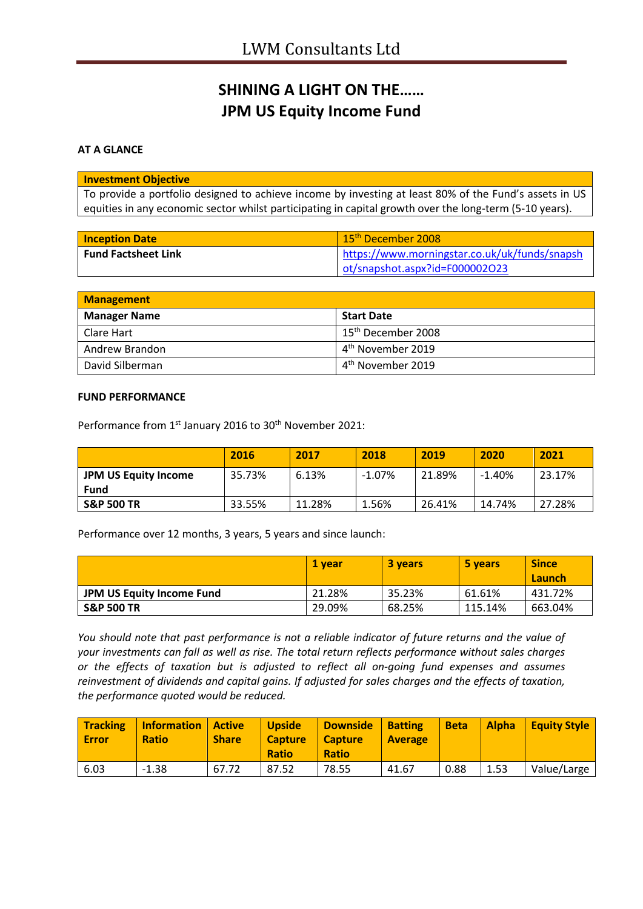# **SHINING A LIGHT ON THE…… JPM US Equity Income Fund**

### **AT A GLANCE**

### **Investment Objective**

To provide a portfolio designed to achieve income by investing at least 80% of the Fund's assets in US equities in any economic sector whilst participating in capital growth over the long-term (5-10 years).

| <b>Inception Date</b>      | 15 <sup>th</sup> December 2008                |
|----------------------------|-----------------------------------------------|
| <b>Fund Factsheet Link</b> | https://www.morningstar.co.uk/uk/funds/snapsh |
|                            | ot/snapshot.aspx?id=F000002O23                |

| <b>Management</b>   |                                |
|---------------------|--------------------------------|
| <b>Manager Name</b> | <b>Start Date</b>              |
| l Clare Hart        | 15 <sup>th</sup> December 2008 |
| Andrew Brandon      | 4 <sup>th</sup> November 2019  |
| David Silberman     | 4 <sup>th</sup> November 2019  |

#### **FUND PERFORMANCE**

Performance from 1<sup>st</sup> January 2016 to 30<sup>th</sup> November 2021:

|                             | 2016   | 2017   | 2018     | 2019   | 2020      | 2021   |
|-----------------------------|--------|--------|----------|--------|-----------|--------|
| <b>JPM US Equity Income</b> | 35.73% | 6.13%  | $-1.07%$ | 21.89% | $-1.40\%$ | 23.17% |
| Fund                        |        |        |          |        |           |        |
| <b>S&amp;P 500 TR</b>       | 33.55% | 11.28% | 1.56%    | 26.41% | 14.74%    | 27.28% |

Performance over 12 months, 3 years, 5 years and since launch:

|                                  | 1 vear | <b>3 years</b> | 5 years | <b>Since</b><br>Launch |
|----------------------------------|--------|----------------|---------|------------------------|
| <b>JPM US Equity Income Fund</b> | 21.28% | 35.23%         | 61.61%  | 431.72%                |
| <b>S&amp;P 500 TR</b>            | 29.09% | 68.25%         | 115.14% | 663.04%                |

*You should note that past performance is not a reliable indicator of future returns and the value of your investments can fall as well as rise. The total return reflects performance without sales charges or the effects of taxation but is adjusted to reflect all on-going fund expenses and assumes reinvestment of dividends and capital gains. If adjusted for sales charges and the effects of taxation, the performance quoted would be reduced.*

| <b>Tracking</b><br><b>Error</b> | <b>Information</b><br><b>Ratio</b> | <i><b>Active</b></i><br><b>Share</b> | <b>Upside</b><br><b>Capture</b><br><b>Ratio</b> | <b>Downside</b><br><b>Capture</b><br><b>Ratio</b> | <b>Batting</b><br><b>Average</b> | <b>Beta</b> | <b>Alpha</b> | <b>Equity Style</b> |
|---------------------------------|------------------------------------|--------------------------------------|-------------------------------------------------|---------------------------------------------------|----------------------------------|-------------|--------------|---------------------|
| 6.03                            | $-1.38$                            | 67.72                                | 87.52                                           | 78.55                                             | 41.67                            | 0.88        | 1.53         | Value/Large         |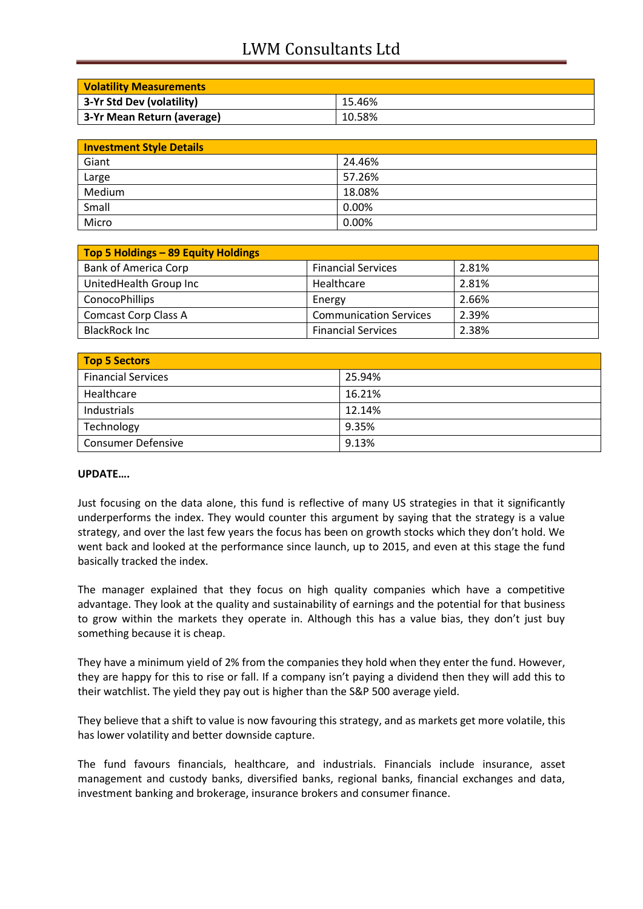# LWM Consultants Ltd

| <b>Volatility Measurements</b> |        |
|--------------------------------|--------|
| 3-Yr Std Dev (volatility)      | 15.46% |
| 3-Yr Mean Return (average)     | 10.58% |

| <b>Investment Style Details</b> |        |  |
|---------------------------------|--------|--|
| Giant                           | 24.46% |  |
| Large                           | 57.26% |  |
| Medium                          | 18.08% |  |
| Small                           | 0.00%  |  |
| Micro                           | 0.00%  |  |

| Top 5 Holdings - 89 Equity Holdings |                               |       |
|-------------------------------------|-------------------------------|-------|
| <b>Bank of America Corp</b>         | <b>Financial Services</b>     | 2.81% |
| UnitedHealth Group Inc              | Healthcare                    | 2.81% |
| ConocoPhillips                      | Energy                        | 2.66% |
| <b>Comcast Corp Class A</b>         | <b>Communication Services</b> | 2.39% |
| <b>BlackRock Inc</b>                | <b>Financial Services</b>     | 2.38% |

| Top 5 Sectors             |        |  |
|---------------------------|--------|--|
| <b>Financial Services</b> | 25.94% |  |
| Healthcare                | 16.21% |  |
| Industrials               | 12.14% |  |
| Technology                | 9.35%  |  |
| <b>Consumer Defensive</b> | 9.13%  |  |

## **UPDATE….**

Just focusing on the data alone, this fund is reflective of many US strategies in that it significantly underperforms the index. They would counter this argument by saying that the strategy is a value strategy, and over the last few years the focus has been on growth stocks which they don't hold. We went back and looked at the performance since launch, up to 2015, and even at this stage the fund basically tracked the index.

The manager explained that they focus on high quality companies which have a competitive advantage. They look at the quality and sustainability of earnings and the potential for that business to grow within the markets they operate in. Although this has a value bias, they don't just buy something because it is cheap.

They have a minimum yield of 2% from the companies they hold when they enter the fund. However, they are happy for this to rise or fall. If a company isn't paying a dividend then they will add this to their watchlist. The yield they pay out is higher than the S&P 500 average yield.

They believe that a shift to value is now favouring this strategy, and as markets get more volatile, this has lower volatility and better downside capture.

The fund favours financials, healthcare, and industrials. Financials include insurance, asset management and custody banks, diversified banks, regional banks, financial exchanges and data, investment banking and brokerage, insurance brokers and consumer finance.